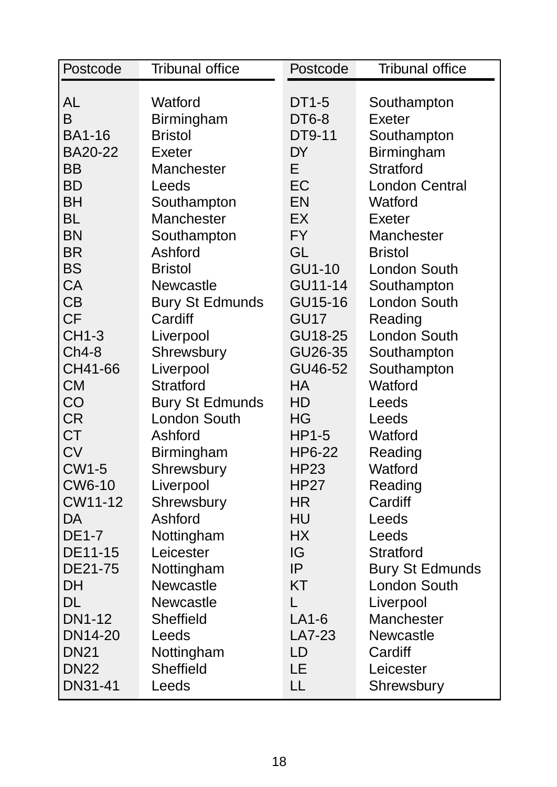| Postcode      | <b>Tribunal office</b> | Postcode     | <b>Tribunal office</b> |
|---------------|------------------------|--------------|------------------------|
|               |                        |              |                        |
| <b>AL</b>     | Watford                | DT1-5        | Southampton            |
| B             | Birmingham             | DT6-8        | Exeter                 |
| <b>BA1-16</b> | <b>Bristol</b>         | DT9-11       | Southampton            |
| BA20-22       | Exeter                 | <b>DY</b>    | Birmingham             |
| <b>BB</b>     | Manchester             | E.           | <b>Stratford</b>       |
| <b>BD</b>     | Leeds                  | EC           | <b>London Central</b>  |
| <b>BH</b>     | Southampton            | <b>EN</b>    | Watford                |
| <b>BL</b>     | Manchester             | EX           | Exeter                 |
| <b>BN</b>     | Southampton            | <b>FY</b>    | Manchester             |
| <b>BR</b>     | Ashford                | GL           | <b>Bristol</b>         |
| <b>BS</b>     | <b>Bristol</b>         | GU1-10       | London South           |
| CA            | Newcastle              | GU11-14      | Southampton            |
| <b>CB</b>     | <b>Bury St Edmunds</b> | GU15-16      | London South           |
| <b>CF</b>     | Cardiff                | GU17         | Reading                |
| <b>CH1-3</b>  | Liverpool              | GU18-25      | London South           |
| $Ch4-8$       | Shrewsbury             | GU26-35      | Southampton            |
| CH41-66       | Liverpool              | GU46-52      | Southampton            |
| <b>CM</b>     | <b>Stratford</b>       | НA           | Watford                |
| CO            | <b>Bury St Edmunds</b> | HD           | Leeds                  |
| <b>CR</b>     | London South           | HG           | Leeds                  |
| <b>CT</b>     | Ashford                | <b>HP1-5</b> | Watford                |
| <b>CV</b>     | Birmingham             | HP6-22       | Reading                |
| <b>CW1-5</b>  | Shrewsbury             | <b>HP23</b>  | Watford                |
| <b>CW6-10</b> | Liverpool              | <b>HP27</b>  | Reading                |
| CW11-12       | Shrewsbury             | HR.          | Cardiff                |
| <b>DA</b>     | Ashford                | HU           | Leeds                  |
| <b>DE1-7</b>  | Nottingham             | <b>HX</b>    | Leeds                  |
| DE11-15       | Leicester              | IG           | <b>Stratford</b>       |
| DE21-75       | Nottingham             | IP           | <b>Bury St Edmunds</b> |
| <b>DH</b>     | Newcastle              | <b>KT</b>    | London South           |
| <b>DL</b>     | Newcastle              | L            | Liverpool              |
| <b>DN1-12</b> | Sheffield              | $LA1-6$      | Manchester             |
| DN14-20       | Leeds                  | LA7-23       | Newcastle              |
| <b>DN21</b>   | Nottingham             | LD           | Cardiff                |
| <b>DN22</b>   | Sheffield              | LE           | Leicester              |
| DN31-41       | Leeds                  | LL           | Shrewsbury             |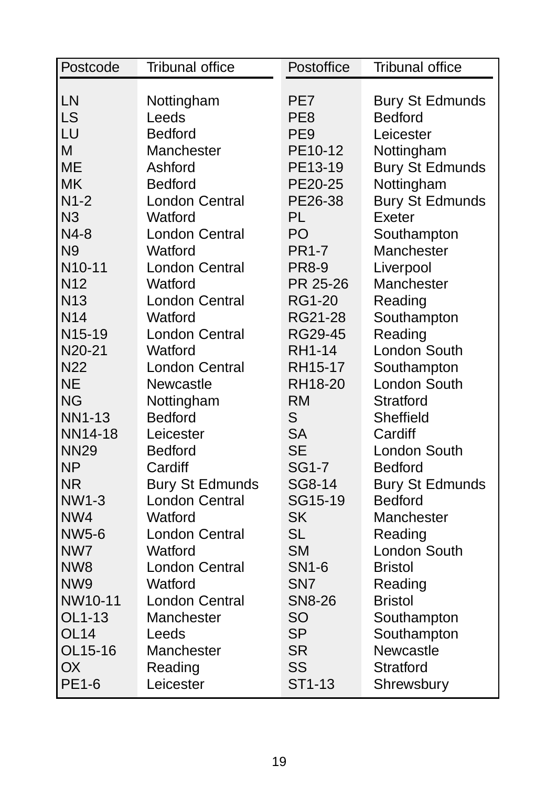| LN<br>Nottingham<br>PE7<br><b>Bury St Edmunds</b><br>LS<br>PE <sub>8</sub><br><b>Bedford</b><br>Leeds<br>LU<br><b>Bedford</b><br>PE <sub>9</sub><br>Leicester<br>M<br>Manchester<br>PE10-12<br>Nottingham<br><b>ME</b><br>Ashford<br>PE13-19<br><b>Bury St Edmunds</b><br><b>MK</b><br><b>Bedford</b><br>PE20-25<br>Nottingham<br>$N1-2$<br><b>London Central</b><br>PE26-38<br><b>Bury St Edmunds</b><br>N <sub>3</sub><br><b>PL</b><br>Watford<br>Exeter<br>PO<br>$N4-8$<br><b>London Central</b><br>Southampton<br>N <sub>9</sub><br><b>PR1-7</b><br>Watford<br>Manchester<br>N <sub>10</sub> -11<br><b>London Central</b><br><b>PR8-9</b><br>Liverpool<br><b>N12</b><br>PR 25-26<br>Watford<br>Manchester<br><b>London Central</b><br>N <sub>13</sub><br><b>RG1-20</b><br>Reading<br>N <sub>14</sub><br>Watford<br>RG21-28<br>Southampton<br>N15-19<br><b>London Central</b><br>RG29-45<br>Reading |
|--------------------------------------------------------------------------------------------------------------------------------------------------------------------------------------------------------------------------------------------------------------------------------------------------------------------------------------------------------------------------------------------------------------------------------------------------------------------------------------------------------------------------------------------------------------------------------------------------------------------------------------------------------------------------------------------------------------------------------------------------------------------------------------------------------------------------------------------------------------------------------------------------------|
|                                                                                                                                                                                                                                                                                                                                                                                                                                                                                                                                                                                                                                                                                                                                                                                                                                                                                                        |
|                                                                                                                                                                                                                                                                                                                                                                                                                                                                                                                                                                                                                                                                                                                                                                                                                                                                                                        |
|                                                                                                                                                                                                                                                                                                                                                                                                                                                                                                                                                                                                                                                                                                                                                                                                                                                                                                        |
|                                                                                                                                                                                                                                                                                                                                                                                                                                                                                                                                                                                                                                                                                                                                                                                                                                                                                                        |
|                                                                                                                                                                                                                                                                                                                                                                                                                                                                                                                                                                                                                                                                                                                                                                                                                                                                                                        |
|                                                                                                                                                                                                                                                                                                                                                                                                                                                                                                                                                                                                                                                                                                                                                                                                                                                                                                        |
|                                                                                                                                                                                                                                                                                                                                                                                                                                                                                                                                                                                                                                                                                                                                                                                                                                                                                                        |
|                                                                                                                                                                                                                                                                                                                                                                                                                                                                                                                                                                                                                                                                                                                                                                                                                                                                                                        |
|                                                                                                                                                                                                                                                                                                                                                                                                                                                                                                                                                                                                                                                                                                                                                                                                                                                                                                        |
|                                                                                                                                                                                                                                                                                                                                                                                                                                                                                                                                                                                                                                                                                                                                                                                                                                                                                                        |
|                                                                                                                                                                                                                                                                                                                                                                                                                                                                                                                                                                                                                                                                                                                                                                                                                                                                                                        |
|                                                                                                                                                                                                                                                                                                                                                                                                                                                                                                                                                                                                                                                                                                                                                                                                                                                                                                        |
|                                                                                                                                                                                                                                                                                                                                                                                                                                                                                                                                                                                                                                                                                                                                                                                                                                                                                                        |
|                                                                                                                                                                                                                                                                                                                                                                                                                                                                                                                                                                                                                                                                                                                                                                                                                                                                                                        |
|                                                                                                                                                                                                                                                                                                                                                                                                                                                                                                                                                                                                                                                                                                                                                                                                                                                                                                        |
|                                                                                                                                                                                                                                                                                                                                                                                                                                                                                                                                                                                                                                                                                                                                                                                                                                                                                                        |
| N20-21<br>Watford<br><b>RH1-14</b><br>London South                                                                                                                                                                                                                                                                                                                                                                                                                                                                                                                                                                                                                                                                                                                                                                                                                                                     |
| N <sub>22</sub><br>RH15-17<br><b>London Central</b><br>Southampton                                                                                                                                                                                                                                                                                                                                                                                                                                                                                                                                                                                                                                                                                                                                                                                                                                     |
| <b>NE</b><br>London South<br>Newcastle<br>RH18-20                                                                                                                                                                                                                                                                                                                                                                                                                                                                                                                                                                                                                                                                                                                                                                                                                                                      |
| <b>NG</b><br><b>RM</b><br><b>Stratford</b><br>Nottingham                                                                                                                                                                                                                                                                                                                                                                                                                                                                                                                                                                                                                                                                                                                                                                                                                                               |
| S<br><b>NN1-13</b><br><b>Bedford</b><br>Sheffield                                                                                                                                                                                                                                                                                                                                                                                                                                                                                                                                                                                                                                                                                                                                                                                                                                                      |
| <b>SA</b><br>NN14-18<br>Leicester<br>Cardiff                                                                                                                                                                                                                                                                                                                                                                                                                                                                                                                                                                                                                                                                                                                                                                                                                                                           |
| <b>SE</b><br><b>NN29</b><br><b>Bedford</b><br>London South                                                                                                                                                                                                                                                                                                                                                                                                                                                                                                                                                                                                                                                                                                                                                                                                                                             |
| <b>NP</b><br><b>SG1-7</b><br>Cardiff<br><b>Bedford</b>                                                                                                                                                                                                                                                                                                                                                                                                                                                                                                                                                                                                                                                                                                                                                                                                                                                 |
| <b>NR</b><br><b>Bury St Edmunds</b><br>SG8-14<br><b>Bury St Edmunds</b>                                                                                                                                                                                                                                                                                                                                                                                                                                                                                                                                                                                                                                                                                                                                                                                                                                |
| <b>London Central</b><br><b>NW1-3</b><br>SG15-19<br><b>Bedford</b>                                                                                                                                                                                                                                                                                                                                                                                                                                                                                                                                                                                                                                                                                                                                                                                                                                     |
| <b>SK</b><br>NW4<br>Watford<br>Manchester                                                                                                                                                                                                                                                                                                                                                                                                                                                                                                                                                                                                                                                                                                                                                                                                                                                              |
| <b>SL</b><br><b>NW5-6</b><br><b>London Central</b><br>Reading                                                                                                                                                                                                                                                                                                                                                                                                                                                                                                                                                                                                                                                                                                                                                                                                                                          |
| <b>SM</b><br>London South<br>NW7<br>Watford                                                                                                                                                                                                                                                                                                                                                                                                                                                                                                                                                                                                                                                                                                                                                                                                                                                            |
| NW <sub>8</sub><br><b>London Central</b><br><b>SN1-6</b><br><b>Bristol</b>                                                                                                                                                                                                                                                                                                                                                                                                                                                                                                                                                                                                                                                                                                                                                                                                                             |
| NW <sub>9</sub><br>Watford<br>SN <sub>7</sub><br>Reading                                                                                                                                                                                                                                                                                                                                                                                                                                                                                                                                                                                                                                                                                                                                                                                                                                               |
| NW10-11<br><b>London Central</b><br><b>SN8-26</b><br><b>Bristol</b>                                                                                                                                                                                                                                                                                                                                                                                                                                                                                                                                                                                                                                                                                                                                                                                                                                    |
| OL1-13<br>Manchester<br><b>SO</b><br>Southampton                                                                                                                                                                                                                                                                                                                                                                                                                                                                                                                                                                                                                                                                                                                                                                                                                                                       |
| <b>SP</b><br><b>OL14</b><br>Leeds<br>Southampton                                                                                                                                                                                                                                                                                                                                                                                                                                                                                                                                                                                                                                                                                                                                                                                                                                                       |
| <b>SR</b><br>OL15-16<br>Manchester<br>Newcastle                                                                                                                                                                                                                                                                                                                                                                                                                                                                                                                                                                                                                                                                                                                                                                                                                                                        |
| SS<br><b>OX</b><br>Reading<br><b>Stratford</b>                                                                                                                                                                                                                                                                                                                                                                                                                                                                                                                                                                                                                                                                                                                                                                                                                                                         |
| <b>PE1-6</b><br>ST1-13<br>Leicester<br>Shrewsbury                                                                                                                                                                                                                                                                                                                                                                                                                                                                                                                                                                                                                                                                                                                                                                                                                                                      |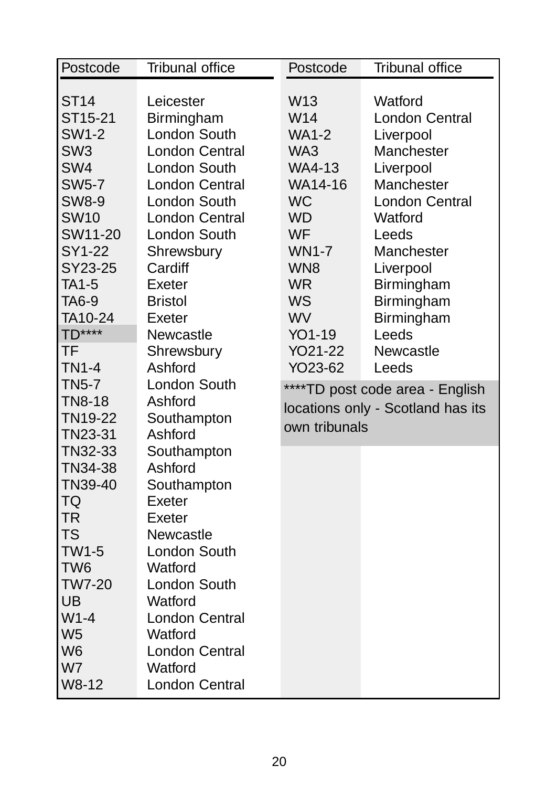| Postcode        | <b>Tribunal office</b> | Postcode        | <b>Tribunal office</b>            |
|-----------------|------------------------|-----------------|-----------------------------------|
|                 |                        |                 |                                   |
| <b>ST14</b>     | Leicester              | W <sub>13</sub> | Watford                           |
| ST15-21         | Birmingham             | W14             | <b>London Central</b>             |
| <b>SW1-2</b>    | London South           | <b>WA1-2</b>    | Liverpool                         |
| SW <sub>3</sub> | <b>London Central</b>  | WA3             | Manchester                        |
| SW <sub>4</sub> | London South           | <b>WA4-13</b>   | Liverpool                         |
| <b>SW5-7</b>    | <b>London Central</b>  | WA14-16         | Manchester                        |
| <b>SW8-9</b>    | <b>London South</b>    | <b>WC</b>       | <b>London Central</b>             |
| <b>SW10</b>     | <b>London Central</b>  | <b>WD</b>       | Watford                           |
| SW11-20         | London South           | <b>WF</b>       | Leeds                             |
| SY1-22          | Shrewsbury             | <b>WN1-7</b>    | Manchester                        |
| SY23-25         | Cardiff                | WN <sub>8</sub> | Liverpool                         |
| <b>TA1-5</b>    | Exeter                 | <b>WR</b>       | Birmingham                        |
| TA6-9           | <b>Bristol</b>         | <b>WS</b>       | Birmingham                        |
| TA10-24         | Exeter                 | <b>WV</b>       | Birmingham                        |
| <b>TD****</b>   | Newcastle              | YO1-19          | Leeds                             |
| TF              | Shrewsbury             | YO21-22         | Newcastle                         |
| <b>TN1-4</b>    | Ashford                | YO23-62         | Leeds                             |
| <b>TN5-7</b>    | London South           |                 | ****TD post code area - English   |
| <b>TN8-18</b>   | Ashford                |                 | locations only - Scotland has its |
| TN19-22         | Southampton            | own tribunals   |                                   |
| TN23-31         | Ashford                |                 |                                   |
| TN32-33         | Southampton            |                 |                                   |
| TN34-38         | Ashford                |                 |                                   |
| TN39-40         | Southampton            |                 |                                   |
| <b>TQ</b>       | Exeter                 |                 |                                   |
| <b>TR</b>       | Exeter                 |                 |                                   |
| <b>TS</b>       | Newcastle              |                 |                                   |
| <b>TW1-5</b>    | London South           |                 |                                   |
| TW <sub>6</sub> | Watford                |                 |                                   |
| <b>TW7-20</b>   | London South           |                 |                                   |
| UB              | Watford                |                 |                                   |
| $W1-4$          | <b>London Central</b>  |                 |                                   |
| W <sub>5</sub>  | Watford                |                 |                                   |
| W <sub>6</sub>  | <b>London Central</b>  |                 |                                   |
| W7              | Watford                |                 |                                   |
| W8-12           | <b>London Central</b>  |                 |                                   |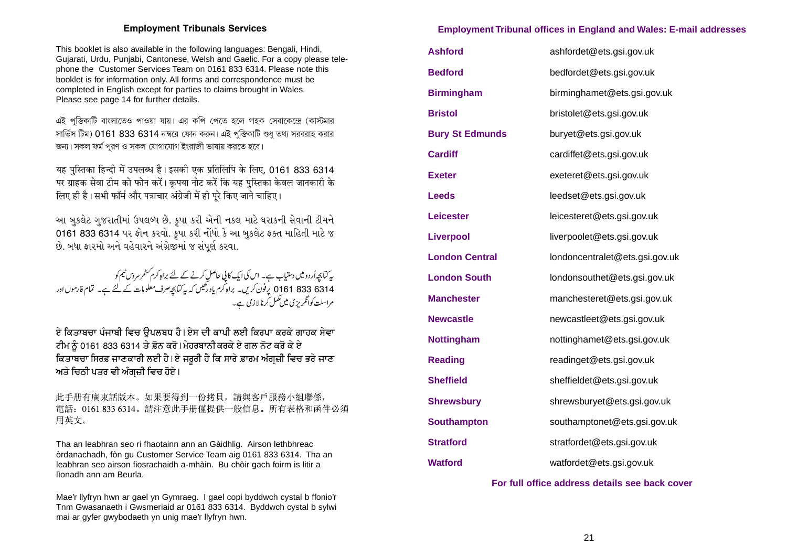## **Employment Tribunal offices in England and Wales: E-mail addresses**

| <b>Ashford</b>         | ashfordet@ets.gsi.gov.uk       |
|------------------------|--------------------------------|
| <b>Bedford</b>         | bedfordet@ets.gsi.gov.uk       |
| <b>Birmingham</b>      | birminghamet@ets.gsi.gov.uk    |
| <b>Bristol</b>         | bristolet@ets.gsi.gov.uk       |
| <b>Bury St Edmunds</b> | buryet@ets.gsi.gov.uk          |
| <b>Cardiff</b>         | cardiffet@ets.gsi.gov.uk       |
| <b>Exeter</b>          | exeteret@ets.gsi.gov.uk        |
| <b>Leeds</b>           | leedset@ets.gsi.gov.uk         |
| Leicester              | leicesteret@ets.gsi.gov.uk     |
| <b>Liverpool</b>       | liverpoolet@ets.gsi.gov.uk     |
| <b>London Central</b>  | londoncentralet@ets.gsi.gov.uk |
| <b>London South</b>    | londonsouthet@ets.gsi.gov.uk   |
| <b>Manchester</b>      | manchesteret@ets.gsi.gov.uk    |
| <b>Newcastle</b>       | newcastleet@ets.gsi.gov.uk     |
| <b>Nottingham</b>      | nottinghamet@ets.gsi.gov.uk    |
| <b>Reading</b>         | readinget@ets.gsi.gov.uk       |
| <b>Sheffield</b>       | sheffieldet@ets.gsi.gov.uk     |
| <b>Shrewsbury</b>      | shrewsburyet@ets.gsi.gov.uk    |
| <b>Southampton</b>     | southamptonet@ets.gsi.gov.uk   |
| <b>Stratford</b>       | stratfordet@ets.gsi.gov.uk     |
| <b>Watford</b>         | watfordet@ets.gsi.gov.uk       |

## **For full office address details see back cover**